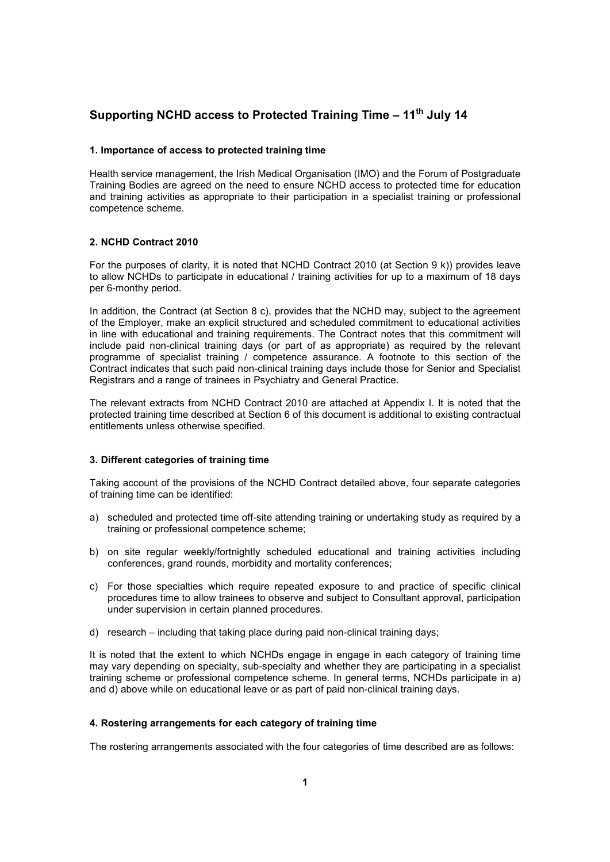# **Supporting NCHD access to Protected Training Time – 11th July 14**

### **1. Importance of access to protected training time**

Health service management, the Irish Medical Organisation (IMO) and the Forum of Postgraduate Training Bodies are agreed on the need to ensure NCHD access to protected time for education and training activities as appropriate to their participation in a specialist training or professional competence scheme.

# **2. NCHD Contract 2010**

For the purposes of clarity, it is noted that NCHD Contract 2010 (at Section 9 k)) provides leave to allow NCHDs to participate in educational / training activities for up to a maximum of 18 days per 6-monthy period.

In addition, the Contract (at Section 8 c), provides that the NCHD may, subject to the agreement of the Employer, make an explicit structured and scheduled commitment to educational activities in line with educational and training requirements. The Contract notes that this commitment will include paid non-clinical training days (or part of as appropriate) as required by the relevant programme of specialist training / competence assurance. A footnote to this section of the Contract indicates that such paid non-clinical training days include those for Senior and Specialist Registrars and a range of trainees in Psychiatry and General Practice.

The relevant extracts from NCHD Contract 2010 are attached at Appendix I. It is noted that the protected training time described at Section 6 of this document is additional to existing contractual entitlements unless otherwise specified.

#### **3. Different categories of training time**

Taking account of the provisions of the NCHD Contract detailed above, four separate categories of training time can be identified:

- a) scheduled and protected time off-site attending training or undertaking study as required by a training or professional competence scheme;
- b) on site regular weekly/fortnightly scheduled educational and training activities including conferences, grand rounds, morbidity and mortality conferences;
- c) For those specialties which require repeated exposure to and practice of specific clinical procedures time to allow trainees to observe and subject to Consultant approval, participation under supervision in certain planned procedures.
- d) research including that taking place during paid non-clinical training days;

It is noted that the extent to which NCHDs engage in engage in each category of training time may vary depending on specialty, sub-specialty and whether they are participating in a specialist training scheme or professional competence scheme. In general terms, NCHDs participate in a) and d) above while on educational leave or as part of paid non-clinical training days.

# **4. Rostering arrangements for each category of training time**

The rostering arrangements associated with the four categories of time described are as follows: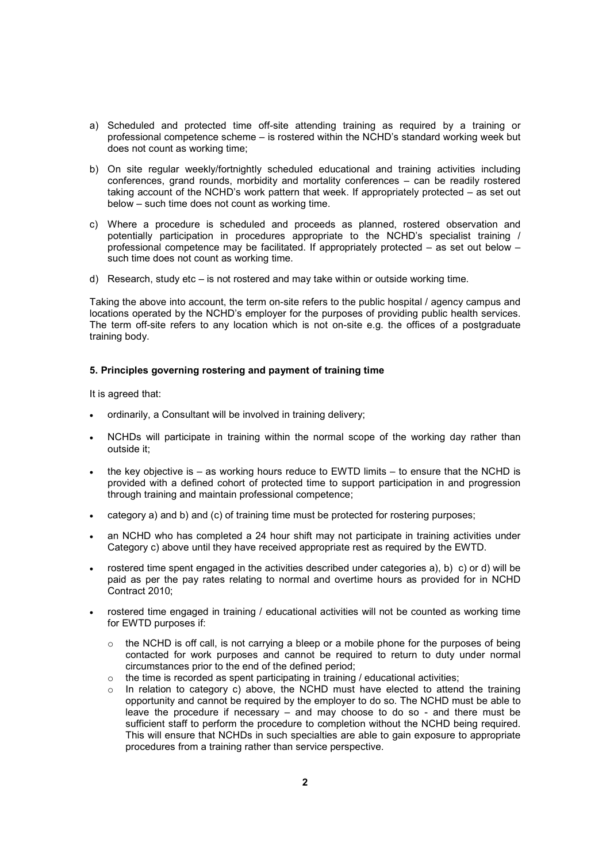- a) Scheduled and protected time off-site attending training as required by a training or professional competence scheme – is rostered within the NCHD's standard working week but does not count as working time;
- b) On site regular weekly/fortnightly scheduled educational and training activities including conferences, grand rounds, morbidity and mortality conferences – can be readily rostered taking account of the NCHD's work pattern that week. If appropriately protected – as set out below – such time does not count as working time.
- c) Where a procedure is scheduled and proceeds as planned, rostered observation and potentially participation in procedures appropriate to the NCHD's specialist training / professional competence may be facilitated. If appropriately protected – as set out below – such time does not count as working time.
- d) Research, study etc is not rostered and may take within or outside working time.

Taking the above into account, the term on-site refers to the public hospital / agency campus and locations operated by the NCHD's employer for the purposes of providing public health services. The term off-site refers to any location which is not on-site e.g. the offices of a postgraduate training body.

### **5. Principles governing rostering and payment of training time**

It is agreed that:

- ordinarily, a Consultant will be involved in training delivery;
- NCHDs will participate in training within the normal scope of the working day rather than outside it;
- the key objective is as working hours reduce to EWTD limits to ensure that the NCHD is provided with a defined cohort of protected time to support participation in and progression through training and maintain professional competence;
- category a) and b) and (c) of training time must be protected for rostering purposes;
- an NCHD who has completed a 24 hour shift may not participate in training activities under Category c) above until they have received appropriate rest as required by the EWTD.
- rostered time spent engaged in the activities described under categories a), b) c) or d) will be paid as per the pay rates relating to normal and overtime hours as provided for in NCHD Contract 2010;
- rostered time engaged in training / educational activities will not be counted as working time for EWTD purposes if:
	- $\circ$  the NCHD is off call, is not carrying a bleep or a mobile phone for the purposes of being contacted for work purposes and cannot be required to return to duty under normal circumstances prior to the end of the defined period;
	- $\circ$  the time is recorded as spent participating in training / educational activities;
	- $\circ$  In relation to category c) above, the NCHD must have elected to attend the training opportunity and cannot be required by the employer to do so. The NCHD must be able to leave the procedure if necessary – and may choose to do so - and there must be sufficient staff to perform the procedure to completion without the NCHD being required. This will ensure that NCHDs in such specialties are able to gain exposure to appropriate procedures from a training rather than service perspective.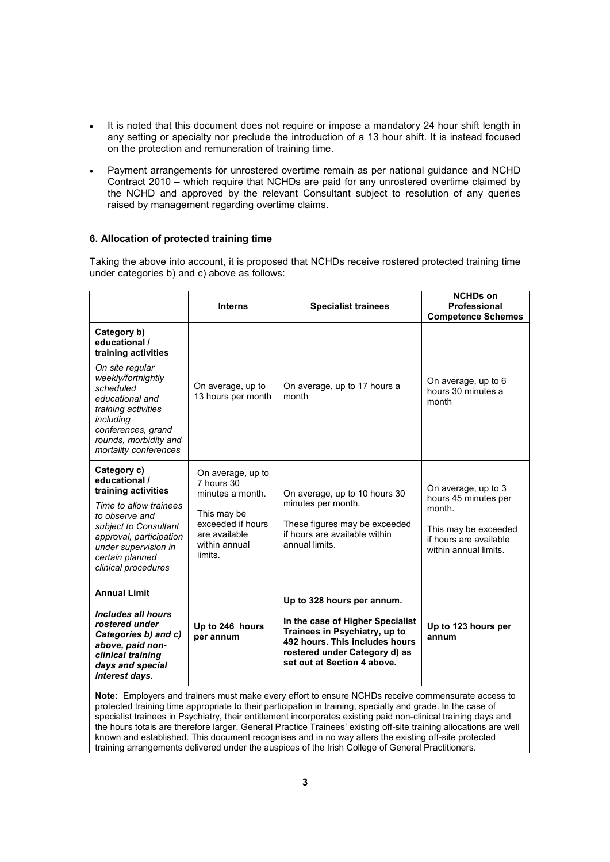- It is noted that this document does not require or impose a mandatory 24 hour shift length in any setting or specialty nor preclude the introduction of a 13 hour shift. It is instead focused on the protection and remuneration of training time.
- Payment arrangements for unrostered overtime remain as per national guidance and NCHD Contract 2010 – which require that NCHDs are paid for any unrostered overtime claimed by the NCHD and approved by the relevant Consultant subject to resolution of any queries raised by management regarding overtime claims.

# **6. Allocation of protected training time**

Taking the above into account, it is proposed that NCHDs receive rostered protected training time under categories b) and c) above as follows:

|                                                                                                                                                                                                                                          | <b>Interns</b>                                                                                                                       | <b>Specialist trainees</b>                                                                                                                                                                        | <b>NCHDs on</b><br>Professional<br><b>Competence Schemes</b>                                                                     |
|------------------------------------------------------------------------------------------------------------------------------------------------------------------------------------------------------------------------------------------|--------------------------------------------------------------------------------------------------------------------------------------|---------------------------------------------------------------------------------------------------------------------------------------------------------------------------------------------------|----------------------------------------------------------------------------------------------------------------------------------|
| Category b)<br>educational /<br>training activities<br>On site regular<br>weekly/fortnightly<br>scheduled<br>educational and<br>training activities<br>including<br>conferences, grand<br>rounds, morbidity and<br>mortality conferences | On average, up to<br>13 hours per month                                                                                              | On average, up to 17 hours a<br>month                                                                                                                                                             | On average, up to 6<br>hours 30 minutes a<br>month                                                                               |
| Category c)<br>educational /<br>training activities<br>Time to allow trainees<br>to observe and<br>subject to Consultant<br>approval, participation<br>under supervision in<br>certain planned<br>clinical procedures                    | On average, up to<br>7 hours 30<br>minutes a month.<br>This may be<br>exceeded if hours<br>are available<br>within annual<br>limits. | On average, up to 10 hours 30<br>minutes per month.<br>These figures may be exceeded<br>if hours are available within<br>annual limits.                                                           | On average, up to 3<br>hours 45 minutes per<br>month.<br>This may be exceeded<br>if hours are available<br>within annual limits. |
| <b>Annual Limit</b><br>Includes all hours<br>rostered under<br>Categories b) and c)<br>above, paid non-<br>clinical training<br>days and special<br>interest days.                                                                       | Up to 246 hours<br>per annum                                                                                                         | Up to 328 hours per annum.<br>In the case of Higher Specialist<br>Trainees in Psychiatry, up to<br>492 hours. This includes hours<br>rostered under Category d) as<br>set out at Section 4 above. | Up to 123 hours per<br>annum                                                                                                     |
|                                                                                                                                                                                                                                          |                                                                                                                                      | Note: Employers and trainers must make every effort to ensure NCHDs receive commensurate access to                                                                                                |                                                                                                                                  |

**Note:** Employers and trainers must make every effort to ensure NCHDs receive commensurate access to protected training time appropriate to their participation in training, specialty and grade. In the case of specialist trainees in Psychiatry, their entitlement incorporates existing paid non-clinical training days and the hours totals are therefore larger. General Practice Trainees' existing off-site training allocations are well known and established. This document recognises and in no way alters the existing off-site protected training arrangements delivered under the auspices of the Irish College of General Practitioners.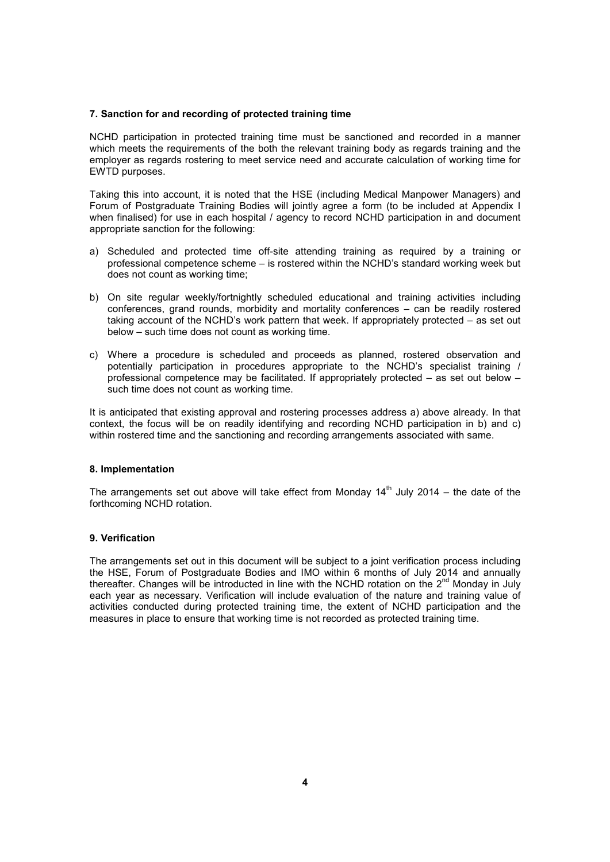### **7. Sanction for and recording of protected training time**

NCHD participation in protected training time must be sanctioned and recorded in a manner which meets the requirements of the both the relevant training body as regards training and the employer as regards rostering to meet service need and accurate calculation of working time for EWTD purposes.

Taking this into account, it is noted that the HSE (including Medical Manpower Managers) and Forum of Postgraduate Training Bodies will jointly agree a form (to be included at Appendix I when finalised) for use in each hospital / agency to record NCHD participation in and document appropriate sanction for the following:

- a) Scheduled and protected time off-site attending training as required by a training or professional competence scheme – is rostered within the NCHD's standard working week but does not count as working time;
- b) On site regular weekly/fortnightly scheduled educational and training activities including conferences, grand rounds, morbidity and mortality conferences – can be readily rostered taking account of the NCHD's work pattern that week. If appropriately protected – as set out below – such time does not count as working time.
- c) Where a procedure is scheduled and proceeds as planned, rostered observation and potentially participation in procedures appropriate to the NCHD's specialist training / professional competence may be facilitated. If appropriately protected – as set out below – such time does not count as working time.

It is anticipated that existing approval and rostering processes address a) above already. In that context, the focus will be on readily identifying and recording NCHD participation in b) and c) within rostered time and the sanctioning and recording arrangements associated with same.

# **8. Implementation**

The arrangements set out above will take effect from Monday  $14<sup>th</sup>$  July 2014 – the date of the forthcoming NCHD rotation.

# **9. Verification**

The arrangements set out in this document will be subject to a joint verification process including the HSE, Forum of Postgraduate Bodies and IMO within 6 months of July 2014 and annually thereafter. Changes will be introducted in line with the NCHD rotation on the  $2^{nd}$  Monday in July each year as necessary. Verification will include evaluation of the nature and training value of activities conducted during protected training time, the extent of NCHD participation and the measures in place to ensure that working time is not recorded as protected training time.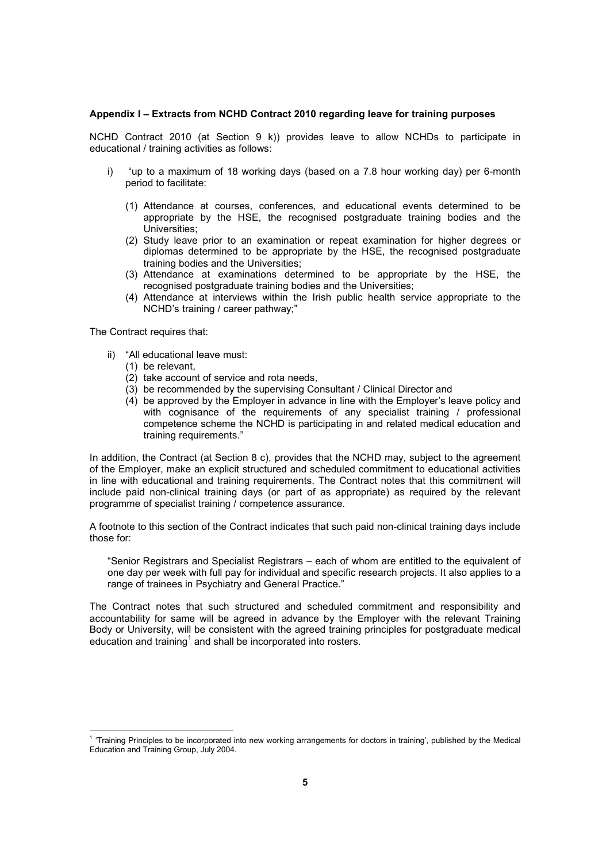#### **Appendix I – Extracts from NCHD Contract 2010 regarding leave for training purposes**

NCHD Contract 2010 (at Section 9 k)) provides leave to allow NCHDs to participate in educational / training activities as follows:

- i) "up to a maximum of 18 working days (based on a 7.8 hour working day) per 6-month period to facilitate:
	- (1) Attendance at courses, conferences, and educational events determined to be appropriate by the HSE, the recognised postgraduate training bodies and the Universities;
	- (2) Study leave prior to an examination or repeat examination for higher degrees or diplomas determined to be appropriate by the HSE, the recognised postgraduate training bodies and the Universities;
	- (3) Attendance at examinations determined to be appropriate by the HSE, the recognised postgraduate training bodies and the Universities;
	- (4) Attendance at interviews within the Irish public health service appropriate to the NCHD's training / career pathway;"

The Contract requires that:

l

- ii) "All educational leave must:
	- (1) be relevant,
	- (2) take account of service and rota needs,
	- (3) be recommended by the supervising Consultant / Clinical Director and
	- (4) be approved by the Employer in advance in line with the Employer's leave policy and with cognisance of the requirements of any specialist training / professional competence scheme the NCHD is participating in and related medical education and training requirements."

In addition, the Contract (at Section 8 c), provides that the NCHD may, subject to the agreement of the Employer, make an explicit structured and scheduled commitment to educational activities in line with educational and training requirements. The Contract notes that this commitment will include paid non-clinical training days (or part of as appropriate) as required by the relevant programme of specialist training / competence assurance.

A footnote to this section of the Contract indicates that such paid non-clinical training days include those for:

"Senior Registrars and Specialist Registrars – each of whom are entitled to the equivalent of one day per week with full pay for individual and specific research projects. It also applies to a range of trainees in Psychiatry and General Practice."

The Contract notes that such structured and scheduled commitment and responsibility and accountability for same will be agreed in advance by the Employer with the relevant Training Body or University, will be consistent with the agreed training principles for postgraduate medical education and training<sup>1</sup> and shall be incorporated into rosters.

<sup>&</sup>lt;sup>1</sup> 'Training Principles to be incorporated into new working arrangements for doctors in training', published by the Medical Education and Training Group, July 2004.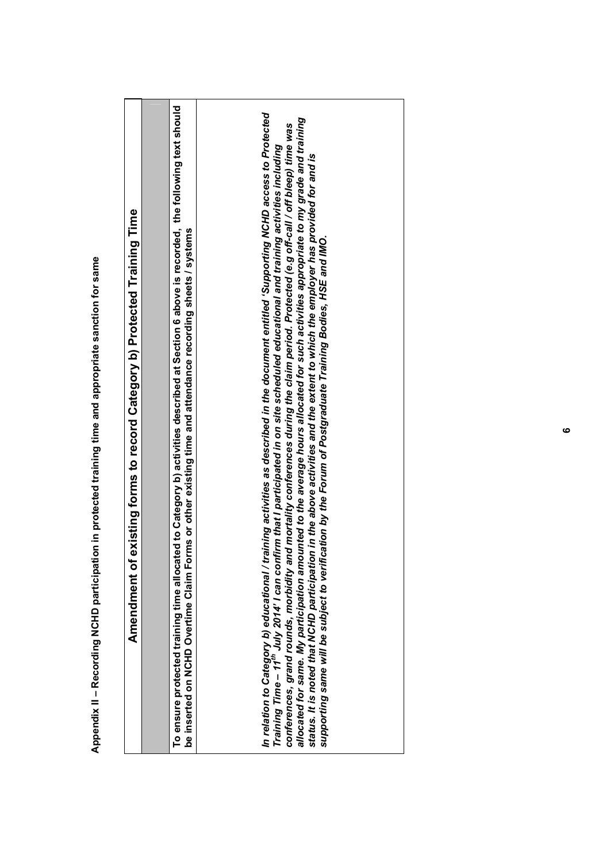| existing forms to record Category b) Protected Training Time<br>Amendment of | To ensure protected training time allocated to Category b) activities described at Section 6 above is recorded, the following text should | In relation to Category b) educational / training activities as described in the document entitled 'Supporting NCHD access to Protected<br>Training Time – 11 <sup>th</sup> July 2014' I can confirm that I participated in on site schedul<br>ounted to the average hours allocated for such activities appropriate to my grade and training<br>conferences, grand rounds, morbidity and mortality conferences during the claim period. Protected (e.g off-call / off bleep) time was<br>status. It is noted that NCHD participation in the above activities and the extent to which the employer has provided for and is<br>be inserted on NCHD Overtime Claim Forms or other existing time and attendance recording sheets / systems<br>supporting same will be subject to verification by the Forum of Postgraduate Training Bodies, HSE and IMO.<br>allocated for same. My participation amo |
|------------------------------------------------------------------------------|-------------------------------------------------------------------------------------------------------------------------------------------|---------------------------------------------------------------------------------------------------------------------------------------------------------------------------------------------------------------------------------------------------------------------------------------------------------------------------------------------------------------------------------------------------------------------------------------------------------------------------------------------------------------------------------------------------------------------------------------------------------------------------------------------------------------------------------------------------------------------------------------------------------------------------------------------------------------------------------------------------------------------------------------------------|
|------------------------------------------------------------------------------|-------------------------------------------------------------------------------------------------------------------------------------------|---------------------------------------------------------------------------------------------------------------------------------------------------------------------------------------------------------------------------------------------------------------------------------------------------------------------------------------------------------------------------------------------------------------------------------------------------------------------------------------------------------------------------------------------------------------------------------------------------------------------------------------------------------------------------------------------------------------------------------------------------------------------------------------------------------------------------------------------------------------------------------------------------|

Appendix II - Recording NCHD participation in protected training time and appropriate sanction for same **Appendix II – Recording NCHD participation in protected training time and appropriate sanction for same**